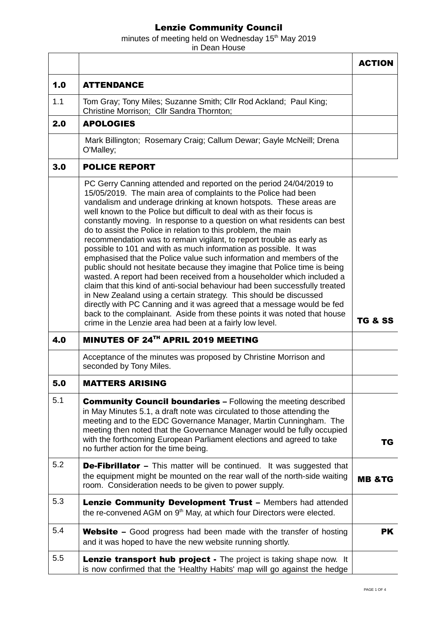## Lenzie Community Council

minutes of meeting held on Wednesday  $15<sup>th</sup>$  May 2019 in Dean House

ACTION 1.0 ATTENDANCE 1.1 Tom Gray; Tony Miles; Suzanne Smith; Cllr Rod Ackland; Paul King; Christine Morrison; Cllr Sandra Thornton; 2.0 | APOLOGIES Mark Billington; Rosemary Craig; Callum Dewar; Gayle McNeill; Drena O'Malley; 3.0 POLICE REPORT PC Gerry Canning attended and reported on the period 24/04/2019 to 15/05/2019. The main area of complaints to the Police had been vandalism and underage drinking at known hotspots. These areas are well known to the Police but difficult to deal with as their focus is constantly moving. In response to a question on what residents can best do to assist the Police in relation to this problem, the main recommendation was to remain vigilant, to report trouble as early as possible to 101 and with as much information as possible. It was emphasised that the Police value such information and members of the public should not hesitate because they imagine that Police time is being wasted. A report had been received from a householder which included a claim that this kind of anti-social behaviour had been successfully treated in New Zealand using a certain strategy. This should be discussed directly with PC Canning and it was agreed that a message would be fed back to the complainant. Aside from these points it was noted that house crime in the Lenzie area had been at a fairly low level. 4.0 MINUTES OF 24<sup>TH</sup> APRIL 2019 MEETING Acceptance of the minutes was proposed by Christine Morrison and seconded by Tony Miles. 5.0 MATTERS ARISING  $5.1$  Community Council boundaries – Following the meeting described in May Minutes 5.1, a draft note was circulated to those attending the meeting and to the EDC Governance Manager, Martin Cunningham. The meeting then noted that the Governance Manager would be fully occupied with the forthcoming European Parliament elections and agreed to take no further action for the time being. TG  $5.2$  **De-Fibrillator** – This matter will be continued. It was suggested that the equipment might be mounted on the rear wall of the north-side waiting the equipment might be mounted on the rear wall of the horth-side waiting  $\mathbf{M}\mathbf{B}$  &TG room. Consideration needs to be given to power supply.  $5.3$  Lenzie Community Development Trust – Members had attended the re-convened AGM on 9<sup>th</sup> May, at which four Directors were elected.  $5.4$  Website – Good progress had been made with the transfer of hosting and it was hoped to have the new website running shortly. PK  $5.5$  **Lenzie transport hub project** - The project is taking shape now. It is now confirmed that the 'Healthy Habits' map will go against the hedge